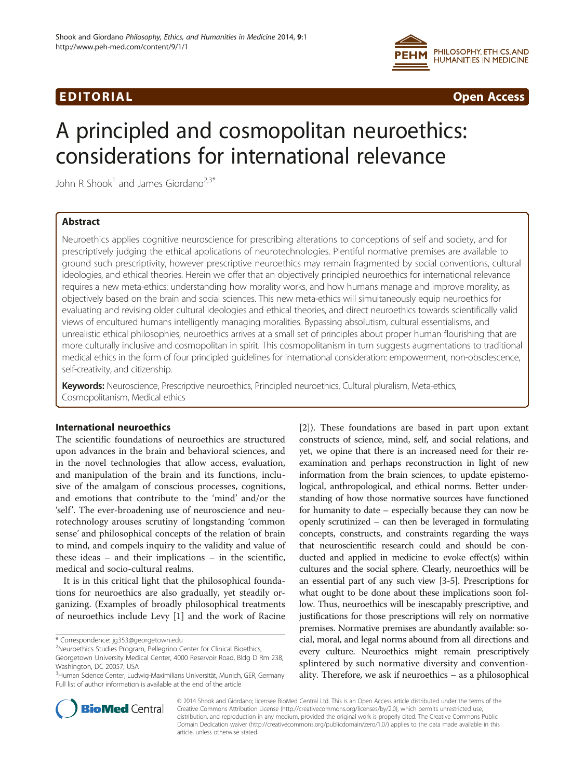

# EDI TORIA L Open Access

# A principled and cosmopolitan neuroethics: considerations for international relevance

John R Shook<sup>1</sup> and James Giordano<sup>2,3\*</sup>

# Abstract

Neuroethics applies cognitive neuroscience for prescribing alterations to conceptions of self and society, and for prescriptively judging the ethical applications of neurotechnologies. Plentiful normative premises are available to ground such prescriptivity, however prescriptive neuroethics may remain fragmented by social conventions, cultural ideologies, and ethical theories. Herein we offer that an objectively principled neuroethics for international relevance requires a new meta-ethics: understanding how morality works, and how humans manage and improve morality, as objectively based on the brain and social sciences. This new meta-ethics will simultaneously equip neuroethics for evaluating and revising older cultural ideologies and ethical theories, and direct neuroethics towards scientifically valid views of encultured humans intelligently managing moralities. Bypassing absolutism, cultural essentialisms, and unrealistic ethical philosophies, neuroethics arrives at a small set of principles about proper human flourishing that are more culturally inclusive and cosmopolitan in spirit. This cosmopolitanism in turn suggests augmentations to traditional medical ethics in the form of four principled guidelines for international consideration: empowerment, non-obsolescence, self-creativity, and citizenship.

Keywords: Neuroscience, Prescriptive neuroethics, Principled neuroethics, Cultural pluralism, Meta-ethics, Cosmopolitanism, Medical ethics

# International neuroethics

The scientific foundations of neuroethics are structured upon advances in the brain and behavioral sciences, and in the novel technologies that allow access, evaluation, and manipulation of the brain and its functions, inclusive of the amalgam of conscious processes, cognitions, and emotions that contribute to the 'mind' and/or the 'self'. The ever-broadening use of neuroscience and neurotechnology arouses scrutiny of longstanding 'common sense' and philosophical concepts of the relation of brain to mind, and compels inquiry to the validity and value of these ideas – and their implications – in the scientific, medical and socio-cultural realms.

It is in this critical light that the philosophical foundations for neuroethics are also gradually, yet steadily organizing. (Examples of broadly philosophical treatments of neuroethics include Levy [[1](#page-11-0)] and the work of Racine

[[2\]](#page-11-0)). These foundations are based in part upon extant constructs of science, mind, self, and social relations, and yet, we opine that there is an increased need for their reexamination and perhaps reconstruction in light of new information from the brain sciences, to update epistemological, anthropological, and ethical norms. Better understanding of how those normative sources have functioned for humanity to date – especially because they can now be openly scrutinized – can then be leveraged in formulating concepts, constructs, and constraints regarding the ways that neuroscientific research could and should be conducted and applied in medicine to evoke effect(s) within cultures and the social sphere. Clearly, neuroethics will be an essential part of any such view [\[3-5](#page-11-0)]. Prescriptions for what ought to be done about these implications soon follow. Thus, neuroethics will be inescapably prescriptive, and justifications for those prescriptions will rely on normative premises. Normative premises are abundantly available: social, moral, and legal norms abound from all directions and every culture. Neuroethics might remain prescriptively splintered by such normative diversity and conventionality. Therefore, we ask if neuroethics – as a philosophical



© 2014 Shook and Giordano; licensee BioMed Central Ltd. This is an Open Access article distributed under the terms of the Creative Commons Attribution License (<http://creativecommons.org/licenses/by/2.0>), which permits unrestricted use, distribution, and reproduction in any medium, provided the original work is properly cited. The Creative Commons Public Domain Dedication waiver [\(http://creativecommons.org/publicdomain/zero/1.0/\)](http://creativecommons.org/publicdomain/zero/1.0/) applies to the data made available in this article, unless otherwise stated.

<sup>\*</sup> Correspondence: [jg353@georgetown.edu](mailto:jg353@georgetown.edu) <sup>2</sup>

<sup>&</sup>lt;sup>2</sup>Neuroethics Studies Program, Pellegrino Center for Clinical Bioethics, Georgetown University Medical Center, 4000 Reservoir Road, Bldg D Rm 238, Washington, DC 20057, USA

<sup>3</sup> Human Science Center, Ludwig-Maximilians Universität, Munich, GER, Germany Full list of author information is available at the end of the article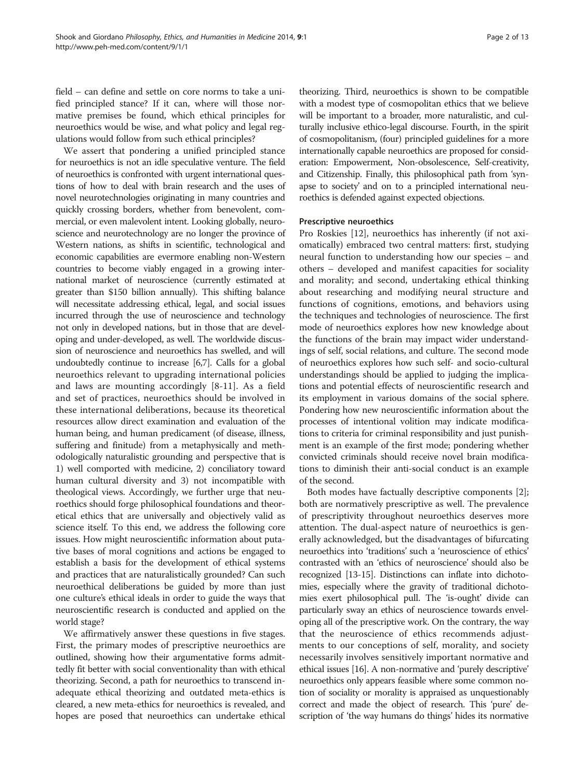field – can define and settle on core norms to take a unified principled stance? If it can, where will those normative premises be found, which ethical principles for neuroethics would be wise, and what policy and legal regulations would follow from such ethical principles?

We assert that pondering a unified principled stance for neuroethics is not an idle speculative venture. The field of neuroethics is confronted with urgent international questions of how to deal with brain research and the uses of novel neurotechnologies originating in many countries and quickly crossing borders, whether from benevolent, commercial, or even malevolent intent. Looking globally, neuroscience and neurotechnology are no longer the province of Western nations, as shifts in scientific, technological and economic capabilities are evermore enabling non-Western countries to become viably engaged in a growing international market of neuroscience (currently estimated at greater than \$150 billion annually). This shifting balance will necessitate addressing ethical, legal, and social issues incurred through the use of neuroscience and technology not only in developed nations, but in those that are developing and under-developed, as well. The worldwide discussion of neuroscience and neuroethics has swelled, and will undoubtedly continue to increase [[6,7\]](#page-11-0). Calls for a global neuroethics relevant to upgrading international policies and laws are mounting accordingly [\[8-11](#page-11-0)]. As a field and set of practices, neuroethics should be involved in these international deliberations, because its theoretical resources allow direct examination and evaluation of the human being, and human predicament (of disease, illness, suffering and finitude) from a metaphysically and methodologically naturalistic grounding and perspective that is 1) well comported with medicine, 2) conciliatory toward human cultural diversity and 3) not incompatible with theological views. Accordingly, we further urge that neuroethics should forge philosophical foundations and theoretical ethics that are universally and objectively valid as science itself. To this end, we address the following core issues. How might neuroscientific information about putative bases of moral cognitions and actions be engaged to establish a basis for the development of ethical systems and practices that are naturalistically grounded? Can such neuroethical deliberations be guided by more than just one culture's ethical ideals in order to guide the ways that neuroscientific research is conducted and applied on the world stage?

We affirmatively answer these questions in five stages. First, the primary modes of prescriptive neuroethics are outlined, showing how their argumentative forms admittedly fit better with social conventionality than with ethical theorizing. Second, a path for neuroethics to transcend inadequate ethical theorizing and outdated meta-ethics is cleared, a new meta-ethics for neuroethics is revealed, and hopes are posed that neuroethics can undertake ethical

theorizing. Third, neuroethics is shown to be compatible with a modest type of cosmopolitan ethics that we believe will be important to a broader, more naturalistic, and culturally inclusive ethico-legal discourse. Fourth, in the spirit of cosmopolitanism, (four) principled guidelines for a more internationally capable neuroethics are proposed for consideration: Empowerment, Non-obsolescence, Self-creativity, and Citizenship. Finally, this philosophical path from 'synapse to society' and on to a principled international neuroethics is defended against expected objections.

# Prescriptive neuroethics

Pro Roskies [\[12](#page-11-0)], neuroethics has inherently (if not axiomatically) embraced two central matters: first, studying neural function to understanding how our species – and others – developed and manifest capacities for sociality and morality; and second, undertaking ethical thinking about researching and modifying neural structure and functions of cognitions, emotions, and behaviors using the techniques and technologies of neuroscience. The first mode of neuroethics explores how new knowledge about the functions of the brain may impact wider understandings of self, social relations, and culture. The second mode of neuroethics explores how such self- and socio-cultural understandings should be applied to judging the implications and potential effects of neuroscientific research and its employment in various domains of the social sphere. Pondering how new neuroscientific information about the processes of intentional volition may indicate modifications to criteria for criminal responsibility and just punishment is an example of the first mode; pondering whether convicted criminals should receive novel brain modifications to diminish their anti-social conduct is an example of the second.

Both modes have factually descriptive components [\[2](#page-11-0)]; both are normatively prescriptive as well. The prevalence of prescriptivity throughout neuroethics deserves more attention. The dual-aspect nature of neuroethics is generally acknowledged, but the disadvantages of bifurcating neuroethics into 'traditions' such a 'neuroscience of ethics' contrasted with an 'ethics of neuroscience' should also be recognized [\[13-15](#page-11-0)]. Distinctions can inflate into dichotomies, especially where the gravity of traditional dichotomies exert philosophical pull. The 'is-ought' divide can particularly sway an ethics of neuroscience towards enveloping all of the prescriptive work. On the contrary, the way that the neuroscience of ethics recommends adjustments to our conceptions of self, morality, and society necessarily involves sensitively important normative and ethical issues [\[16](#page-11-0)]. A non-normative and 'purely descriptive' neuroethics only appears feasible where some common notion of sociality or morality is appraised as unquestionably correct and made the object of research. This 'pure' description of 'the way humans do things' hides its normative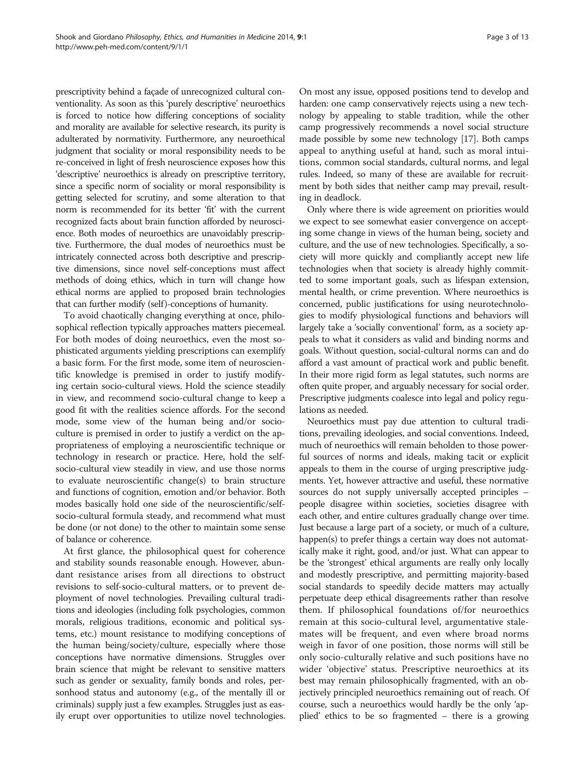prescriptivity behind a façade of unrecognized cultural conventionality. As soon as this 'purely descriptive' neuroethics is forced to notice how differing conceptions of sociality and morality are available for selective research, its purity is adulterated by normativity. Furthermore, any neuroethical judgment that sociality or moral responsibility needs to be re-conceived in light of fresh neuroscience exposes how this 'descriptive' neuroethics is already on prescriptive territory, since a specific norm of sociality or moral responsibility is getting selected for scrutiny, and some alteration to that norm is recommended for its better 'fit' with the current recognized facts about brain function afforded by neuroscience. Both modes of neuroethics are unavoidably prescriptive. Furthermore, the dual modes of neuroethics must be intricately connected across both descriptive and prescriptive dimensions, since novel self-conceptions must affect methods of doing ethics, which in turn will change how ethical norms are applied to proposed brain technologies that can further modify (self)-conceptions of humanity.

To avoid chaotically changing everything at once, philosophical reflection typically approaches matters piecemeal. For both modes of doing neuroethics, even the most sophisticated arguments yielding prescriptions can exemplify a basic form. For the first mode, some item of neuroscientific knowledge is premised in order to justify modifying certain socio-cultural views. Hold the science steadily in view, and recommend socio-cultural change to keep a good fit with the realities science affords. For the second mode, some view of the human being and/or socioculture is premised in order to justify a verdict on the appropriateness of employing a neuroscientific technique or technology in research or practice. Here, hold the selfsocio-cultural view steadily in view, and use those norms to evaluate neuroscientific change(s) to brain structure and functions of cognition, emotion and/or behavior. Both modes basically hold one side of the neuroscientific/selfsocio-cultural formula steady, and recommend what must be done (or not done) to the other to maintain some sense of balance or coherence.

At first glance, the philosophical quest for coherence and stability sounds reasonable enough. However, abundant resistance arises from all directions to obstruct revisions to self-socio-cultural matters, or to prevent deployment of novel technologies. Prevailing cultural traditions and ideologies (including folk psychologies, common morals, religious traditions, economic and political systems, etc.) mount resistance to modifying conceptions of the human being/society/culture, especially where those conceptions have normative dimensions. Struggles over brain science that might be relevant to sensitive matters such as gender or sexuality, family bonds and roles, personhood status and autonomy (e.g., of the mentally ill or criminals) supply just a few examples. Struggles just as easily erupt over opportunities to utilize novel technologies.

On most any issue, opposed positions tend to develop and harden: one camp conservatively rejects using a new technology by appealing to stable tradition, while the other camp progressively recommends a novel social structure made possible by some new technology [\[17\]](#page-11-0). Both camps appeal to anything useful at hand, such as moral intuitions, common social standards, cultural norms, and legal rules. Indeed, so many of these are available for recruitment by both sides that neither camp may prevail, resulting in deadlock.

Only where there is wide agreement on priorities would we expect to see somewhat easier convergence on accepting some change in views of the human being, society and culture, and the use of new technologies. Specifically, a society will more quickly and compliantly accept new life technologies when that society is already highly committed to some important goals, such as lifespan extension, mental health, or crime prevention. Where neuroethics is concerned, public justifications for using neurotechnologies to modify physiological functions and behaviors will largely take a 'socially conventional' form, as a society appeals to what it considers as valid and binding norms and goals. Without question, social-cultural norms can and do afford a vast amount of practical work and public benefit. In their more rigid form as legal statutes, such norms are often quite proper, and arguably necessary for social order. Prescriptive judgments coalesce into legal and policy regulations as needed.

Neuroethics must pay due attention to cultural traditions, prevailing ideologies, and social conventions. Indeed, much of neuroethics will remain beholden to those powerful sources of norms and ideals, making tacit or explicit appeals to them in the course of urging prescriptive judgments. Yet, however attractive and useful, these normative sources do not supply universally accepted principles – people disagree within societies, societies disagree with each other, and entire cultures gradually change over time. Just because a large part of a society, or much of a culture, happen(s) to prefer things a certain way does not automatically make it right, good, and/or just. What can appear to be the 'strongest' ethical arguments are really only locally and modestly prescriptive, and permitting majority-based social standards to speedily decide matters may actually perpetuate deep ethical disagreements rather than resolve them. If philosophical foundations of/for neuroethics remain at this socio-cultural level, argumentative stalemates will be frequent, and even where broad norms weigh in favor of one position, those norms will still be only socio-culturally relative and such positions have no wider 'objective' status. Prescriptive neuroethics at its best may remain philosophically fragmented, with an objectively principled neuroethics remaining out of reach. Of course, such a neuroethics would hardly be the only 'applied' ethics to be so fragmented – there is a growing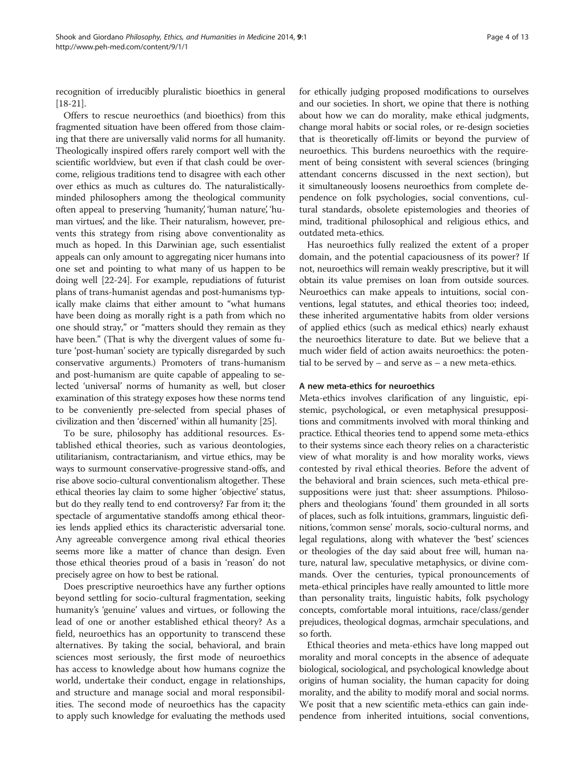recognition of irreducibly pluralistic bioethics in general [[18](#page-11-0)-[21\]](#page-11-0).

Offers to rescue neuroethics (and bioethics) from this fragmented situation have been offered from those claiming that there are universally valid norms for all humanity. Theologically inspired offers rarely comport well with the scientific worldview, but even if that clash could be overcome, religious traditions tend to disagree with each other over ethics as much as cultures do. The naturalisticallyminded philosophers among the theological community often appeal to preserving 'humanity', 'human nature', 'human virtues', and the like. Their naturalism, however, prevents this strategy from rising above conventionality as much as hoped. In this Darwinian age, such essentialist appeals can only amount to aggregating nicer humans into one set and pointing to what many of us happen to be doing well [\[22](#page-11-0)-[24](#page-11-0)]. For example, repudiations of futurist plans of trans-humanist agendas and post-humanisms typically make claims that either amount to "what humans have been doing as morally right is a path from which no one should stray," or "matters should they remain as they have been." (That is why the divergent values of some future 'post-human' society are typically disregarded by such conservative arguments.) Promoters of trans-humanism and post-humanism are quite capable of appealing to selected 'universal' norms of humanity as well, but closer examination of this strategy exposes how these norms tend to be conveniently pre-selected from special phases of civilization and then 'discerned' within all humanity [\[25\]](#page-11-0).

To be sure, philosophy has additional resources. Established ethical theories, such as various deontologies, utilitarianism, contractarianism, and virtue ethics, may be ways to surmount conservative-progressive stand-offs, and rise above socio-cultural conventionalism altogether. These ethical theories lay claim to some higher 'objective' status, but do they really tend to end controversy? Far from it; the spectacle of argumentative standoffs among ethical theories lends applied ethics its characteristic adversarial tone. Any agreeable convergence among rival ethical theories seems more like a matter of chance than design. Even those ethical theories proud of a basis in 'reason' do not precisely agree on how to best be rational.

Does prescriptive neuroethics have any further options beyond settling for socio-cultural fragmentation, seeking humanity's 'genuine' values and virtues, or following the lead of one or another established ethical theory? As a field, neuroethics has an opportunity to transcend these alternatives. By taking the social, behavioral, and brain sciences most seriously, the first mode of neuroethics has access to knowledge about how humans cognize the world, undertake their conduct, engage in relationships, and structure and manage social and moral responsibilities. The second mode of neuroethics has the capacity to apply such knowledge for evaluating the methods used for ethically judging proposed modifications to ourselves and our societies. In short, we opine that there is nothing about how we can do morality, make ethical judgments, change moral habits or social roles, or re-design societies that is theoretically off-limits or beyond the purview of neuroethics. This burdens neuroethics with the requirement of being consistent with several sciences (bringing attendant concerns discussed in the next section), but it simultaneously loosens neuroethics from complete dependence on folk psychologies, social conventions, cultural standards, obsolete epistemologies and theories of mind, traditional philosophical and religious ethics, and outdated meta-ethics.

Has neuroethics fully realized the extent of a proper domain, and the potential capaciousness of its power? If not, neuroethics will remain weakly prescriptive, but it will obtain its value premises on loan from outside sources. Neuroethics can make appeals to intuitions, social conventions, legal statutes, and ethical theories too; indeed, these inherited argumentative habits from older versions of applied ethics (such as medical ethics) nearly exhaust the neuroethics literature to date. But we believe that a much wider field of action awaits neuroethics: the potential to be served by – and serve as – a new meta-ethics.

# A new meta-ethics for neuroethics

Meta-ethics involves clarification of any linguistic, epistemic, psychological, or even metaphysical presuppositions and commitments involved with moral thinking and practice. Ethical theories tend to append some meta-ethics to their systems since each theory relies on a characteristic view of what morality is and how morality works, views contested by rival ethical theories. Before the advent of the behavioral and brain sciences, such meta-ethical presuppositions were just that: sheer assumptions. Philosophers and theologians 'found' them grounded in all sorts of places, such as folk intuitions, grammars, linguistic definitions, 'common sense' morals, socio-cultural norms, and legal regulations, along with whatever the 'best' sciences or theologies of the day said about free will, human nature, natural law, speculative metaphysics, or divine commands. Over the centuries, typical pronouncements of meta-ethical principles have really amounted to little more than personality traits, linguistic habits, folk psychology concepts, comfortable moral intuitions, race/class/gender prejudices, theological dogmas, armchair speculations, and so forth.

Ethical theories and meta-ethics have long mapped out morality and moral concepts in the absence of adequate biological, sociological, and psychological knowledge about origins of human sociality, the human capacity for doing morality, and the ability to modify moral and social norms. We posit that a new scientific meta-ethics can gain independence from inherited intuitions, social conventions,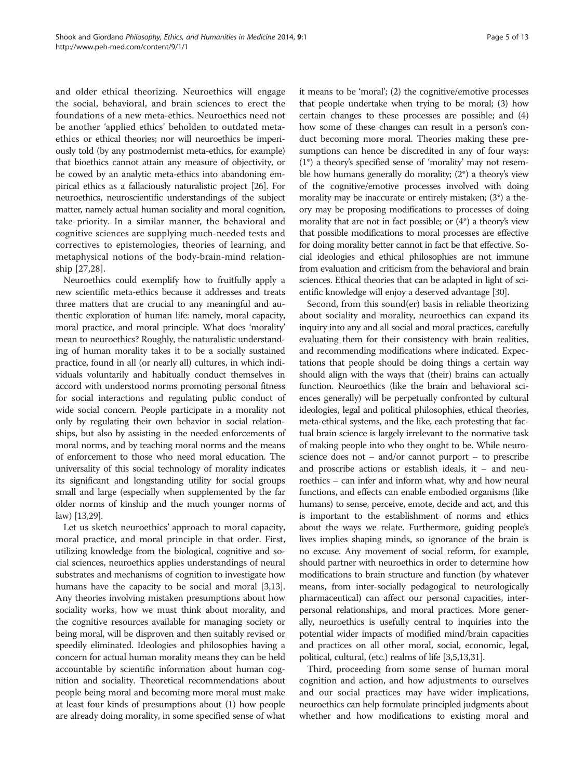and older ethical theorizing. Neuroethics will engage the social, behavioral, and brain sciences to erect the foundations of a new meta-ethics. Neuroethics need not be another 'applied ethics' beholden to outdated metaethics or ethical theories; nor will neuroethics be imperiously told (by any postmodernist meta-ethics, for example) that bioethics cannot attain any measure of objectivity, or be cowed by an analytic meta-ethics into abandoning empirical ethics as a fallaciously naturalistic project [[26](#page-11-0)]. For neuroethics, neuroscientific understandings of the subject matter, namely actual human sociality and moral cognition, take priority. In a similar manner, the behavioral and cognitive sciences are supplying much-needed tests and correctives to epistemologies, theories of learning, and metaphysical notions of the body-brain-mind relationship [[27,28](#page-11-0)].

Neuroethics could exemplify how to fruitfully apply a new scientific meta-ethics because it addresses and treats three matters that are crucial to any meaningful and authentic exploration of human life: namely, moral capacity, moral practice, and moral principle. What does 'morality' mean to neuroethics? Roughly, the naturalistic understanding of human morality takes it to be a socially sustained practice, found in all (or nearly all) cultures, in which individuals voluntarily and habitually conduct themselves in accord with understood norms promoting personal fitness for social interactions and regulating public conduct of wide social concern. People participate in a morality not only by regulating their own behavior in social relationships, but also by assisting in the needed enforcements of moral norms, and by teaching moral norms and the means of enforcement to those who need moral education. The universality of this social technology of morality indicates its significant and longstanding utility for social groups small and large (especially when supplemented by the far older norms of kinship and the much younger norms of law) [[13,29\]](#page-11-0).

Let us sketch neuroethics' approach to moral capacity, moral practice, and moral principle in that order. First, utilizing knowledge from the biological, cognitive and social sciences, neuroethics applies understandings of neural substrates and mechanisms of cognition to investigate how humans have the capacity to be social and moral [\[3,13](#page-11-0)]. Any theories involving mistaken presumptions about how sociality works, how we must think about morality, and the cognitive resources available for managing society or being moral, will be disproven and then suitably revised or speedily eliminated. Ideologies and philosophies having a concern for actual human morality means they can be held accountable by scientific information about human cognition and sociality. Theoretical recommendations about people being moral and becoming more moral must make at least four kinds of presumptions about (1) how people are already doing morality, in some specified sense of what it means to be 'moral'; (2) the cognitive/emotive processes that people undertake when trying to be moral; (3) how certain changes to these processes are possible; and (4) how some of these changes can result in a person's conduct becoming more moral. Theories making these presumptions can hence be discredited in any of four ways: (1\*) a theory's specified sense of 'morality' may not resemble how humans generally do morality; (2\*) a theory's view of the cognitive/emotive processes involved with doing morality may be inaccurate or entirely mistaken; (3\*) a theory may be proposing modifications to processes of doing morality that are not in fact possible; or (4\*) a theory's view that possible modifications to moral processes are effective for doing morality better cannot in fact be that effective. Social ideologies and ethical philosophies are not immune from evaluation and criticism from the behavioral and brain sciences. Ethical theories that can be adapted in light of scientific knowledge will enjoy a deserved advantage [\[30\]](#page-11-0).

Second, from this sound(er) basis in reliable theorizing about sociality and morality, neuroethics can expand its inquiry into any and all social and moral practices, carefully evaluating them for their consistency with brain realities, and recommending modifications where indicated. Expectations that people should be doing things a certain way should align with the ways that (their) brains can actually function. Neuroethics (like the brain and behavioral sciences generally) will be perpetually confronted by cultural ideologies, legal and political philosophies, ethical theories, meta-ethical systems, and the like, each protesting that factual brain science is largely irrelevant to the normative task of making people into who they ought to be. While neuroscience does not – and/or cannot purport – to prescribe and proscribe actions or establish ideals, it – and neuroethics – can infer and inform what, why and how neural functions, and effects can enable embodied organisms (like humans) to sense, perceive, emote, decide and act, and this is important to the establishment of norms and ethics about the ways we relate. Furthermore, guiding people's lives implies shaping minds, so ignorance of the brain is no excuse. Any movement of social reform, for example, should partner with neuroethics in order to determine how modifications to brain structure and function (by whatever means, from inter-socially pedagogical to neurologically pharmaceutical) can affect our personal capacities, interpersonal relationships, and moral practices. More generally, neuroethics is usefully central to inquiries into the potential wider impacts of modified mind/brain capacities and practices on all other moral, social, economic, legal, political, cultural, (etc.) realms of life [\[3,5,13,31\]](#page-11-0).

Third, proceeding from some sense of human moral cognition and action, and how adjustments to ourselves and our social practices may have wider implications, neuroethics can help formulate principled judgments about whether and how modifications to existing moral and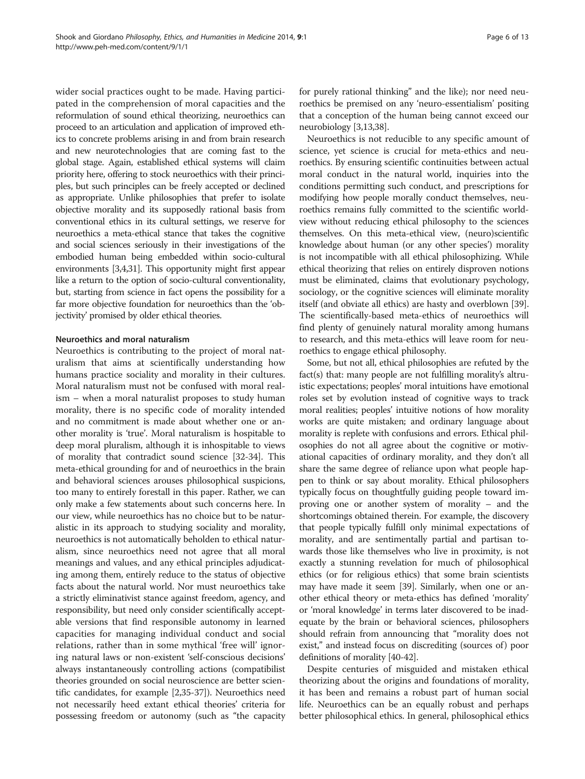wider social practices ought to be made. Having participated in the comprehension of moral capacities and the reformulation of sound ethical theorizing, neuroethics can proceed to an articulation and application of improved ethics to concrete problems arising in and from brain research and new neurotechnologies that are coming fast to the global stage. Again, established ethical systems will claim priority here, offering to stock neuroethics with their principles, but such principles can be freely accepted or declined as appropriate. Unlike philosophies that prefer to isolate objective morality and its supposedly rational basis from conventional ethics in its cultural settings, we reserve for neuroethics a meta-ethical stance that takes the cognitive and social sciences seriously in their investigations of the embodied human being embedded within socio-cultural environments [\[3,4,31\]](#page-11-0). This opportunity might first appear like a return to the option of socio-cultural conventionality, but, starting from science in fact opens the possibility for a far more objective foundation for neuroethics than the 'objectivity' promised by older ethical theories.

## Neuroethics and moral naturalism

Neuroethics is contributing to the project of moral naturalism that aims at scientifically understanding how humans practice sociality and morality in their cultures. Moral naturalism must not be confused with moral realism – when a moral naturalist proposes to study human morality, there is no specific code of morality intended and no commitment is made about whether one or another morality is 'true'. Moral naturalism is hospitable to deep moral pluralism, although it is inhospitable to views of morality that contradict sound science [[32-34\]](#page-11-0). This meta-ethical grounding for and of neuroethics in the brain and behavioral sciences arouses philosophical suspicions, too many to entirely forestall in this paper. Rather, we can only make a few statements about such concerns here. In our view, while neuroethics has no choice but to be naturalistic in its approach to studying sociality and morality, neuroethics is not automatically beholden to ethical naturalism, since neuroethics need not agree that all moral meanings and values, and any ethical principles adjudicating among them, entirely reduce to the status of objective facts about the natural world. Nor must neuroethics take a strictly eliminativist stance against freedom, agency, and responsibility, but need only consider scientifically acceptable versions that find responsible autonomy in learned capacities for managing individual conduct and social relations, rather than in some mythical 'free will' ignoring natural laws or non-existent 'self-conscious decisions' always instantaneously controlling actions (compatibilist theories grounded on social neuroscience are better scientific candidates, for example [[2,35](#page-11-0)-[37\]](#page-12-0)). Neuroethics need not necessarily heed extant ethical theories' criteria for possessing freedom or autonomy (such as "the capacity for purely rational thinking" and the like); nor need neuroethics be premised on any 'neuro-essentialism' positing that a conception of the human being cannot exceed our neurobiology [[3,13](#page-11-0)[,38](#page-12-0)].

Neuroethics is not reducible to any specific amount of science, yet science is crucial for meta-ethics and neuroethics. By ensuring scientific continuities between actual moral conduct in the natural world, inquiries into the conditions permitting such conduct, and prescriptions for modifying how people morally conduct themselves, neuroethics remains fully committed to the scientific worldview without reducing ethical philosophy to the sciences themselves. On this meta-ethical view, (neuro)scientific knowledge about human (or any other species') morality is not incompatible with all ethical philosophizing. While ethical theorizing that relies on entirely disproven notions must be eliminated, claims that evolutionary psychology, sociology, or the cognitive sciences will eliminate morality itself (and obviate all ethics) are hasty and overblown [[39](#page-12-0)]. The scientifically-based meta-ethics of neuroethics will find plenty of genuinely natural morality among humans to research, and this meta-ethics will leave room for neuroethics to engage ethical philosophy.

Some, but not all, ethical philosophies are refuted by the fact(s) that: many people are not fulfilling morality's altruistic expectations; peoples' moral intuitions have emotional roles set by evolution instead of cognitive ways to track moral realities; peoples' intuitive notions of how morality works are quite mistaken; and ordinary language about morality is replete with confusions and errors. Ethical philosophies do not all agree about the cognitive or motivational capacities of ordinary morality, and they don't all share the same degree of reliance upon what people happen to think or say about morality. Ethical philosophers typically focus on thoughtfully guiding people toward improving one or another system of morality – and the shortcomings obtained therein. For example, the discovery that people typically fulfill only minimal expectations of morality, and are sentimentally partial and partisan towards those like themselves who live in proximity, is not exactly a stunning revelation for much of philosophical ethics (or for religious ethics) that some brain scientists may have made it seem [[39](#page-12-0)]. Similarly, when one or another ethical theory or meta-ethics has defined 'morality' or 'moral knowledge' in terms later discovered to be inadequate by the brain or behavioral sciences, philosophers should refrain from announcing that "morality does not exist," and instead focus on discrediting (sources of) poor definitions of morality [\[40-42\]](#page-12-0).

Despite centuries of misguided and mistaken ethical theorizing about the origins and foundations of morality, it has been and remains a robust part of human social life. Neuroethics can be an equally robust and perhaps better philosophical ethics. In general, philosophical ethics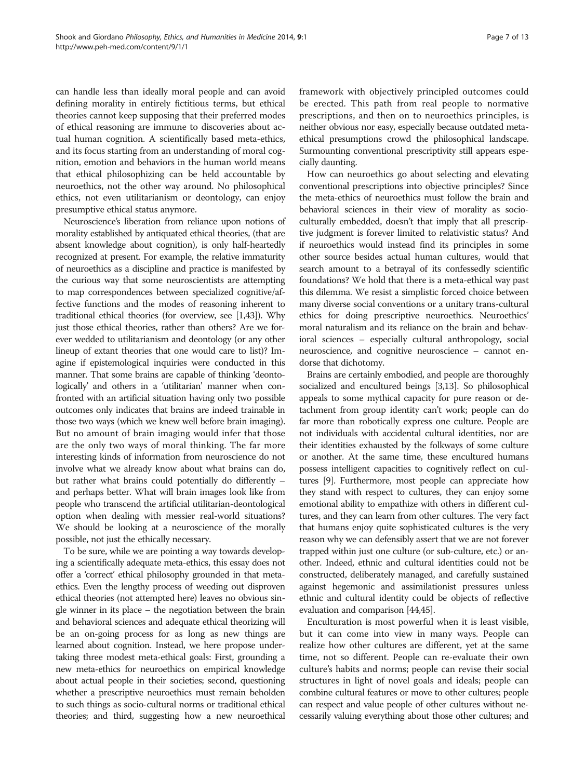can handle less than ideally moral people and can avoid defining morality in entirely fictitious terms, but ethical theories cannot keep supposing that their preferred modes of ethical reasoning are immune to discoveries about actual human cognition. A scientifically based meta-ethics, and its focus starting from an understanding of moral cognition, emotion and behaviors in the human world means that ethical philosophizing can be held accountable by neuroethics, not the other way around. No philosophical ethics, not even utilitarianism or deontology, can enjoy presumptive ethical status anymore.

Neuroscience's liberation from reliance upon notions of morality established by antiquated ethical theories, (that are absent knowledge about cognition), is only half-heartedly recognized at present. For example, the relative immaturity of neuroethics as a discipline and practice is manifested by the curious way that some neuroscientists are attempting to map correspondences between specialized cognitive/affective functions and the modes of reasoning inherent to traditional ethical theories (for overview, see [\[1](#page-11-0)[,43](#page-12-0)]). Why just those ethical theories, rather than others? Are we forever wedded to utilitarianism and deontology (or any other lineup of extant theories that one would care to list)? Imagine if epistemological inquiries were conducted in this manner. That some brains are capable of thinking 'deontologically' and others in a 'utilitarian' manner when confronted with an artificial situation having only two possible outcomes only indicates that brains are indeed trainable in those two ways (which we knew well before brain imaging). But no amount of brain imaging would infer that those are the only two ways of moral thinking. The far more interesting kinds of information from neuroscience do not involve what we already know about what brains can do, but rather what brains could potentially do differently – and perhaps better. What will brain images look like from people who transcend the artificial utilitarian-deontological option when dealing with messier real-world situations? We should be looking at a neuroscience of the morally possible, not just the ethically necessary.

To be sure, while we are pointing a way towards developing a scientifically adequate meta-ethics, this essay does not offer a 'correct' ethical philosophy grounded in that metaethics. Even the lengthy process of weeding out disproven ethical theories (not attempted here) leaves no obvious single winner in its place – the negotiation between the brain and behavioral sciences and adequate ethical theorizing will be an on-going process for as long as new things are learned about cognition. Instead, we here propose undertaking three modest meta-ethical goals: First, grounding a new meta-ethics for neuroethics on empirical knowledge about actual people in their societies; second, questioning whether a prescriptive neuroethics must remain beholden to such things as socio-cultural norms or traditional ethical theories; and third, suggesting how a new neuroethical

framework with objectively principled outcomes could be erected. This path from real people to normative prescriptions, and then on to neuroethics principles, is neither obvious nor easy, especially because outdated metaethical presumptions crowd the philosophical landscape. Surmounting conventional prescriptivity still appears especially daunting.

How can neuroethics go about selecting and elevating conventional prescriptions into objective principles? Since the meta-ethics of neuroethics must follow the brain and behavioral sciences in their view of morality as socioculturally embedded, doesn't that imply that all prescriptive judgment is forever limited to relativistic status? And if neuroethics would instead find its principles in some other source besides actual human cultures, would that search amount to a betrayal of its confessedly scientific foundations? We hold that there is a meta-ethical way past this dilemma. We resist a simplistic forced choice between many diverse social conventions or a unitary trans-cultural ethics for doing prescriptive neuroethics. Neuroethics' moral naturalism and its reliance on the brain and behavioral sciences – especially cultural anthropology, social neuroscience, and cognitive neuroscience – cannot endorse that dichotomy.

Brains are certainly embodied, and people are thoroughly socialized and encultured beings [\[3,13](#page-11-0)]. So philosophical appeals to some mythical capacity for pure reason or detachment from group identity can't work; people can do far more than robotically express one culture. People are not individuals with accidental cultural identities, nor are their identities exhausted by the folkways of some culture or another. At the same time, these encultured humans possess intelligent capacities to cognitively reflect on cultures [\[9\]](#page-11-0). Furthermore, most people can appreciate how they stand with respect to cultures, they can enjoy some emotional ability to empathize with others in different cultures, and they can learn from other cultures. The very fact that humans enjoy quite sophisticated cultures is the very reason why we can defensibly assert that we are not forever trapped within just one culture (or sub-culture, etc.) or another. Indeed, ethnic and cultural identities could not be constructed, deliberately managed, and carefully sustained against hegemonic and assimilationist pressures unless ethnic and cultural identity could be objects of reflective evaluation and comparison [\[44,45](#page-12-0)].

Enculturation is most powerful when it is least visible, but it can come into view in many ways. People can realize how other cultures are different, yet at the same time, not so different. People can re-evaluate their own culture's habits and norms; people can revise their social structures in light of novel goals and ideals; people can combine cultural features or move to other cultures; people can respect and value people of other cultures without necessarily valuing everything about those other cultures; and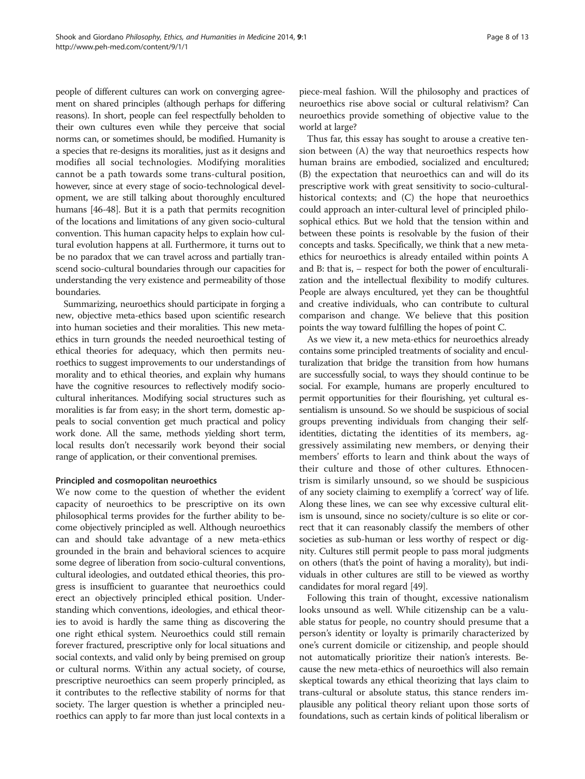people of different cultures can work on converging agreement on shared principles (although perhaps for differing reasons). In short, people can feel respectfully beholden to their own cultures even while they perceive that social norms can, or sometimes should, be modified. Humanity is a species that re-designs its moralities, just as it designs and modifies all social technologies. Modifying moralities cannot be a path towards some trans-cultural position, however, since at every stage of socio-technological development, we are still talking about thoroughly encultured humans [\[46-48\]](#page-12-0). But it is a path that permits recognition of the locations and limitations of any given socio-cultural convention. This human capacity helps to explain how cultural evolution happens at all. Furthermore, it turns out to be no paradox that we can travel across and partially transcend socio-cultural boundaries through our capacities for understanding the very existence and permeability of those boundaries.

Summarizing, neuroethics should participate in forging a new, objective meta-ethics based upon scientific research into human societies and their moralities. This new metaethics in turn grounds the needed neuroethical testing of ethical theories for adequacy, which then permits neuroethics to suggest improvements to our understandings of morality and to ethical theories, and explain why humans have the cognitive resources to reflectively modify sociocultural inheritances. Modifying social structures such as moralities is far from easy; in the short term, domestic appeals to social convention get much practical and policy work done. All the same, methods yielding short term, local results don't necessarily work beyond their social range of application, or their conventional premises.

# Principled and cosmopolitan neuroethics

We now come to the question of whether the evident capacity of neuroethics to be prescriptive on its own philosophical terms provides for the further ability to become objectively principled as well. Although neuroethics can and should take advantage of a new meta-ethics grounded in the brain and behavioral sciences to acquire some degree of liberation from socio-cultural conventions, cultural ideologies, and outdated ethical theories, this progress is insufficient to guarantee that neuroethics could erect an objectively principled ethical position. Understanding which conventions, ideologies, and ethical theories to avoid is hardly the same thing as discovering the one right ethical system. Neuroethics could still remain forever fractured, prescriptive only for local situations and social contexts, and valid only by being premised on group or cultural norms. Within any actual society, of course, prescriptive neuroethics can seem properly principled, as it contributes to the reflective stability of norms for that society. The larger question is whether a principled neuroethics can apply to far more than just local contexts in a piece-meal fashion. Will the philosophy and practices of neuroethics rise above social or cultural relativism? Can neuroethics provide something of objective value to the world at large?

Thus far, this essay has sought to arouse a creative tension between (A) the way that neuroethics respects how human brains are embodied, socialized and encultured; (B) the expectation that neuroethics can and will do its prescriptive work with great sensitivity to socio-culturalhistorical contexts; and (C) the hope that neuroethics could approach an inter-cultural level of principled philosophical ethics. But we hold that the tension within and between these points is resolvable by the fusion of their concepts and tasks. Specifically, we think that a new metaethics for neuroethics is already entailed within points A and B: that is, – respect for both the power of enculturalization and the intellectual flexibility to modify cultures. People are always encultured, yet they can be thoughtful and creative individuals, who can contribute to cultural comparison and change. We believe that this position points the way toward fulfilling the hopes of point C.

As we view it, a new meta-ethics for neuroethics already contains some principled treatments of sociality and enculturalization that bridge the transition from how humans are successfully social, to ways they should continue to be social. For example, humans are properly encultured to permit opportunities for their flourishing, yet cultural essentialism is unsound. So we should be suspicious of social groups preventing individuals from changing their selfidentities, dictating the identities of its members, aggressively assimilating new members, or denying their members' efforts to learn and think about the ways of their culture and those of other cultures. Ethnocentrism is similarly unsound, so we should be suspicious of any society claiming to exemplify a 'correct' way of life. Along these lines, we can see why excessive cultural elitism is unsound, since no society/culture is so elite or correct that it can reasonably classify the members of other societies as sub-human or less worthy of respect or dignity. Cultures still permit people to pass moral judgments on others (that's the point of having a morality), but individuals in other cultures are still to be viewed as worthy candidates for moral regard [[49](#page-12-0)].

Following this train of thought, excessive nationalism looks unsound as well. While citizenship can be a valuable status for people, no country should presume that a person's identity or loyalty is primarily characterized by one's current domicile or citizenship, and people should not automatically prioritize their nation's interests. Because the new meta-ethics of neuroethics will also remain skeptical towards any ethical theorizing that lays claim to trans-cultural or absolute status, this stance renders implausible any political theory reliant upon those sorts of foundations, such as certain kinds of political liberalism or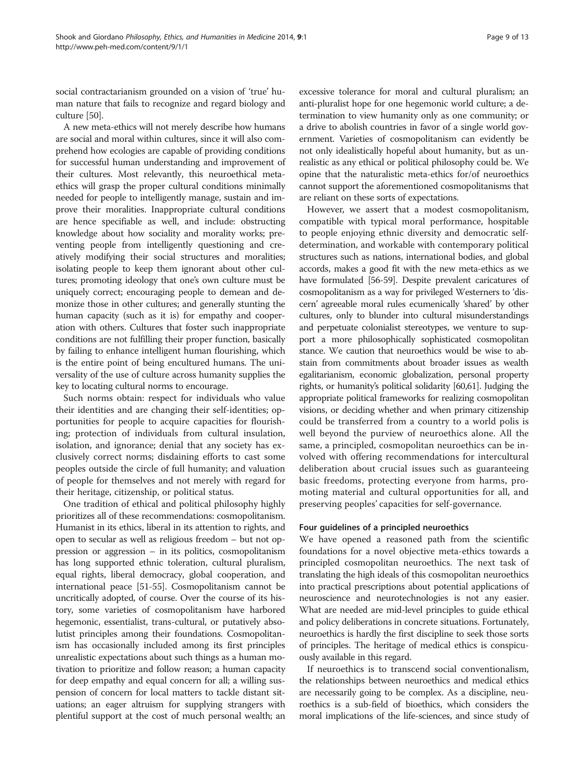social contractarianism grounded on a vision of 'true' human nature that fails to recognize and regard biology and culture [[50](#page-12-0)].

A new meta-ethics will not merely describe how humans are social and moral within cultures, since it will also comprehend how ecologies are capable of providing conditions for successful human understanding and improvement of their cultures. Most relevantly, this neuroethical metaethics will grasp the proper cultural conditions minimally needed for people to intelligently manage, sustain and improve their moralities. Inappropriate cultural conditions are hence specifiable as well, and include: obstructing knowledge about how sociality and morality works; preventing people from intelligently questioning and creatively modifying their social structures and moralities; isolating people to keep them ignorant about other cultures; promoting ideology that one's own culture must be uniquely correct; encouraging people to demean and demonize those in other cultures; and generally stunting the human capacity (such as it is) for empathy and cooperation with others. Cultures that foster such inappropriate conditions are not fulfilling their proper function, basically by failing to enhance intelligent human flourishing, which is the entire point of being encultured humans. The universality of the use of culture across humanity supplies the key to locating cultural norms to encourage.

Such norms obtain: respect for individuals who value their identities and are changing their self-identities; opportunities for people to acquire capacities for flourishing; protection of individuals from cultural insulation, isolation, and ignorance; denial that any society has exclusively correct norms; disdaining efforts to cast some peoples outside the circle of full humanity; and valuation of people for themselves and not merely with regard for their heritage, citizenship, or political status.

One tradition of ethical and political philosophy highly prioritizes all of these recommendations: cosmopolitanism. Humanist in its ethics, liberal in its attention to rights, and open to secular as well as religious freedom – but not oppression or aggression – in its politics, cosmopolitanism has long supported ethnic toleration, cultural pluralism, equal rights, liberal democracy, global cooperation, and international peace [\[51-55\]](#page-12-0). Cosmopolitanism cannot be uncritically adopted, of course. Over the course of its history, some varieties of cosmopolitanism have harbored hegemonic, essentialist, trans-cultural, or putatively absolutist principles among their foundations. Cosmopolitanism has occasionally included among its first principles unrealistic expectations about such things as a human motivation to prioritize and follow reason; a human capacity for deep empathy and equal concern for all; a willing suspension of concern for local matters to tackle distant situations; an eager altruism for supplying strangers with plentiful support at the cost of much personal wealth; an

excessive tolerance for moral and cultural pluralism; an anti-pluralist hope for one hegemonic world culture; a determination to view humanity only as one community; or a drive to abolish countries in favor of a single world government. Varieties of cosmopolitanism can evidently be not only idealistically hopeful about humanity, but as unrealistic as any ethical or political philosophy could be. We opine that the naturalistic meta-ethics for/of neuroethics cannot support the aforementioned cosmopolitanisms that are reliant on these sorts of expectations.

However, we assert that a modest cosmopolitanism, compatible with typical moral performance, hospitable to people enjoying ethnic diversity and democratic selfdetermination, and workable with contemporary political structures such as nations, international bodies, and global accords, makes a good fit with the new meta-ethics as we have formulated [[56-59\]](#page-12-0). Despite prevalent caricatures of cosmopolitanism as a way for privileged Westerners to 'discern' agreeable moral rules ecumenically 'shared' by other cultures, only to blunder into cultural misunderstandings and perpetuate colonialist stereotypes, we venture to support a more philosophically sophisticated cosmopolitan stance. We caution that neuroethics would be wise to abstain from commitments about broader issues as wealth egalitarianism, economic globalization, personal property rights, or humanity's political solidarity [\[60,61](#page-12-0)]. Judging the appropriate political frameworks for realizing cosmopolitan visions, or deciding whether and when primary citizenship could be transferred from a country to a world polis is well beyond the purview of neuroethics alone. All the same, a principled, cosmopolitan neuroethics can be involved with offering recommendations for intercultural deliberation about crucial issues such as guaranteeing basic freedoms, protecting everyone from harms, promoting material and cultural opportunities for all, and preserving peoples' capacities for self-governance.

# Four guidelines of a principled neuroethics

We have opened a reasoned path from the scientific foundations for a novel objective meta-ethics towards a principled cosmopolitan neuroethics. The next task of translating the high ideals of this cosmopolitan neuroethics into practical prescriptions about potential applications of neuroscience and neurotechnologies is not any easier. What are needed are mid-level principles to guide ethical and policy deliberations in concrete situations. Fortunately, neuroethics is hardly the first discipline to seek those sorts of principles. The heritage of medical ethics is conspicuously available in this regard.

If neuroethics is to transcend social conventionalism, the relationships between neuroethics and medical ethics are necessarily going to be complex. As a discipline, neuroethics is a sub-field of bioethics, which considers the moral implications of the life-sciences, and since study of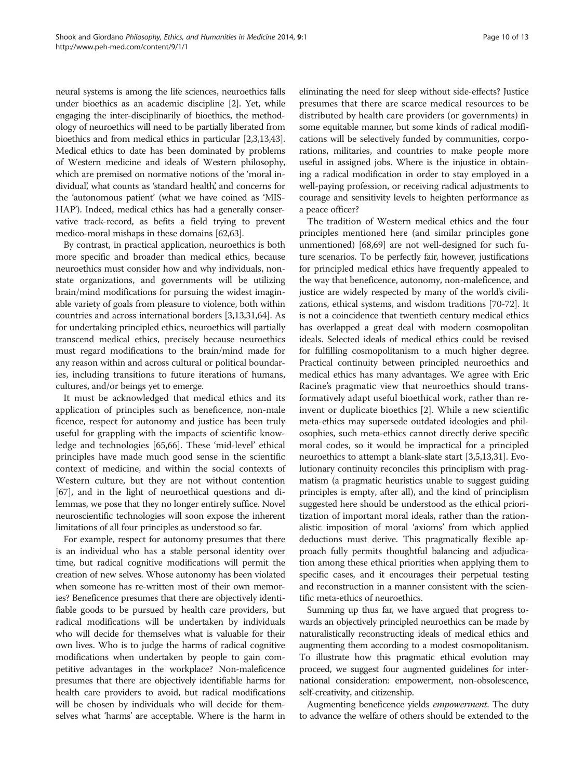neural systems is among the life sciences, neuroethics falls under bioethics as an academic discipline [[2](#page-11-0)]. Yet, while engaging the inter-disciplinarily of bioethics, the methodology of neuroethics will need to be partially liberated from bioethics and from medical ethics in particular [\[2,3,13,](#page-11-0)[43](#page-12-0)]. Medical ethics to date has been dominated by problems of Western medicine and ideals of Western philosophy, which are premised on normative notions of the 'moral individual, what counts as 'standard health,' and concerns for the 'autonomous patient' (what we have coined as 'MIS-HAP'). Indeed, medical ethics has had a generally conservative track-record, as befits a field trying to prevent medico-moral mishaps in these domains [\[62,63](#page-12-0)].

By contrast, in practical application, neuroethics is both more specific and broader than medical ethics, because neuroethics must consider how and why individuals, nonstate organizations, and governments will be utilizing brain/mind modifications for pursuing the widest imaginable variety of goals from pleasure to violence, both within countries and across international borders [[3,13,31](#page-11-0)[,64\]](#page-12-0). As for undertaking principled ethics, neuroethics will partially transcend medical ethics, precisely because neuroethics must regard modifications to the brain/mind made for any reason within and across cultural or political boundaries, including transitions to future iterations of humans, cultures, and/or beings yet to emerge.

It must be acknowledged that medical ethics and its application of principles such as beneficence, non-male ficence, respect for autonomy and justice has been truly useful for grappling with the impacts of scientific knowledge and technologies [[65,66\]](#page-12-0). These 'mid-level' ethical principles have made much good sense in the scientific context of medicine, and within the social contexts of Western culture, but they are not without contention [[67](#page-12-0)], and in the light of neuroethical questions and dilemmas, we pose that they no longer entirely suffice. Novel neuroscientific technologies will soon expose the inherent limitations of all four principles as understood so far.

For example, respect for autonomy presumes that there is an individual who has a stable personal identity over time, but radical cognitive modifications will permit the creation of new selves. Whose autonomy has been violated when someone has re-written most of their own memories? Beneficence presumes that there are objectively identifiable goods to be pursued by health care providers, but radical modifications will be undertaken by individuals who will decide for themselves what is valuable for their own lives. Who is to judge the harms of radical cognitive modifications when undertaken by people to gain competitive advantages in the workplace? Non-maleficence presumes that there are objectively identifiable harms for health care providers to avoid, but radical modifications will be chosen by individuals who will decide for themselves what 'harms' are acceptable. Where is the harm in eliminating the need for sleep without side-effects? Justice presumes that there are scarce medical resources to be distributed by health care providers (or governments) in some equitable manner, but some kinds of radical modifications will be selectively funded by communities, corporations, militaries, and countries to make people more useful in assigned jobs. Where is the injustice in obtaining a radical modification in order to stay employed in a well-paying profession, or receiving radical adjustments to courage and sensitivity levels to heighten performance as a peace officer?

The tradition of Western medical ethics and the four principles mentioned here (and similar principles gone unmentioned) [[68,69\]](#page-12-0) are not well-designed for such future scenarios. To be perfectly fair, however, justifications for principled medical ethics have frequently appealed to the way that beneficence, autonomy, non-maleficence, and justice are widely respected by many of the world's civilizations, ethical systems, and wisdom traditions [\[70-72\]](#page-12-0). It is not a coincidence that twentieth century medical ethics has overlapped a great deal with modern cosmopolitan ideals. Selected ideals of medical ethics could be revised for fulfilling cosmopolitanism to a much higher degree. Practical continuity between principled neuroethics and medical ethics has many advantages. We agree with Eric Racine's pragmatic view that neuroethics should transformatively adapt useful bioethical work, rather than reinvent or duplicate bioethics [\[2](#page-11-0)]. While a new scientific meta-ethics may supersede outdated ideologies and philosophies, such meta-ethics cannot directly derive specific moral codes, so it would be impractical for a principled neuroethics to attempt a blank-slate start [\[3,5,13](#page-11-0),[31](#page-11-0)]. Evolutionary continuity reconciles this principlism with pragmatism (a pragmatic heuristics unable to suggest guiding principles is empty, after all), and the kind of principlism suggested here should be understood as the ethical prioritization of important moral ideals, rather than the rationalistic imposition of moral 'axioms' from which applied deductions must derive. This pragmatically flexible approach fully permits thoughtful balancing and adjudication among these ethical priorities when applying them to specific cases, and it encourages their perpetual testing and reconstruction in a manner consistent with the scientific meta-ethics of neuroethics.

Summing up thus far, we have argued that progress towards an objectively principled neuroethics can be made by naturalistically reconstructing ideals of medical ethics and augmenting them according to a modest cosmopolitanism. To illustrate how this pragmatic ethical evolution may proceed, we suggest four augmented guidelines for international consideration: empowerment, non-obsolescence, self-creativity, and citizenship.

Augmenting beneficence yields empowerment. The duty to advance the welfare of others should be extended to the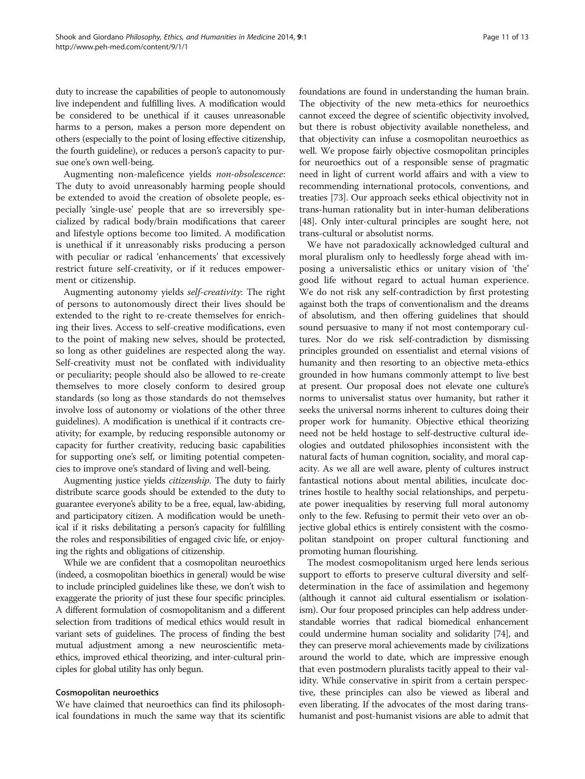duty to increase the capabilities of people to autonomously live independent and fulfilling lives. A modification would be considered to be unethical if it causes unreasonable harms to a person, makes a person more dependent on others (especially to the point of losing effective citizenship, the fourth guideline), or reduces a person's capacity to pursue one's own well-being.

Augmenting non-maleficence yields non-obsolescence: The duty to avoid unreasonably harming people should be extended to avoid the creation of obsolete people, especially 'single-use' people that are so irreversibly specialized by radical body/brain modifications that career and lifestyle options become too limited. A modification is unethical if it unreasonably risks producing a person with peculiar or radical 'enhancements' that excessively restrict future self-creativity, or if it reduces empowerment or citizenship.

Augmenting autonomy yields self-creativity: The right of persons to autonomously direct their lives should be extended to the right to re-create themselves for enriching their lives. Access to self-creative modifications, even to the point of making new selves, should be protected, so long as other guidelines are respected along the way. Self-creativity must not be conflated with individuality or peculiarity; people should also be allowed to re-create themselves to more closely conform to desired group standards (so long as those standards do not themselves involve loss of autonomy or violations of the other three guidelines). A modification is unethical if it contracts creativity; for example, by reducing responsible autonomy or capacity for further creativity, reducing basic capabilities for supporting one's self, or limiting potential competencies to improve one's standard of living and well-being.

Augmenting justice yields citizenship. The duty to fairly distribute scarce goods should be extended to the duty to guarantee everyone's ability to be a free, equal, law-abiding, and participatory citizen. A modification would be unethical if it risks debilitating a person's capacity for fulfilling the roles and responsibilities of engaged civic life, or enjoying the rights and obligations of citizenship.

While we are confident that a cosmopolitan neuroethics (indeed, a cosmopolitan bioethics in general) would be wise to include principled guidelines like these, we don't wish to exaggerate the priority of just these four specific principles. A different formulation of cosmopolitanism and a different selection from traditions of medical ethics would result in variant sets of guidelines. The process of finding the best mutual adjustment among a new neuroscientific metaethics, improved ethical theorizing, and inter-cultural principles for global utility has only begun.

## Cosmopolitan neuroethics

We have claimed that neuroethics can find its philosophical foundations in much the same way that its scientific

foundations are found in understanding the human brain. The objectivity of the new meta-ethics for neuroethics cannot exceed the degree of scientific objectivity involved, but there is robust objectivity available nonetheless, and that objectivity can infuse a cosmopolitan neuroethics as well. We propose fairly objective cosmopolitan principles for neuroethics out of a responsible sense of pragmatic need in light of current world affairs and with a view to recommending international protocols, conventions, and treaties [[73](#page-12-0)]. Our approach seeks ethical objectivity not in trans-human rationality but in inter-human deliberations [[48](#page-12-0)]. Only inter-cultural principles are sought here, not trans-cultural or absolutist norms.

We have not paradoxically acknowledged cultural and moral pluralism only to heedlessly forge ahead with imposing a universalistic ethics or unitary vision of 'the' good life without regard to actual human experience. We do not risk any self-contradiction by first protesting against both the traps of conventionalism and the dreams of absolutism, and then offering guidelines that should sound persuasive to many if not most contemporary cultures. Nor do we risk self-contradiction by dismissing principles grounded on essentialist and eternal visions of humanity and then resorting to an objective meta-ethics grounded in how humans commonly attempt to live best at present. Our proposal does not elevate one culture's norms to universalist status over humanity, but rather it seeks the universal norms inherent to cultures doing their proper work for humanity. Objective ethical theorizing need not be held hostage to self-destructive cultural ideologies and outdated philosophies inconsistent with the natural facts of human cognition, sociality, and moral capacity. As we all are well aware, plenty of cultures instruct fantastical notions about mental abilities, inculcate doctrines hostile to healthy social relationships, and perpetuate power inequalities by reserving full moral autonomy only to the few. Refusing to permit their veto over an objective global ethics is entirely consistent with the cosmopolitan standpoint on proper cultural functioning and promoting human flourishing.

The modest cosmopolitanism urged here lends serious support to efforts to preserve cultural diversity and selfdetermination in the face of assimilation and hegemony (although it cannot aid cultural essentialism or isolationism). Our four proposed principles can help address understandable worries that radical biomedical enhancement could undermine human sociality and solidarity [\[74\]](#page-12-0), and they can preserve moral achievements made by civilizations around the world to date, which are impressive enough that even postmodern pluralists tacitly appeal to their validity. While conservative in spirit from a certain perspective, these principles can also be viewed as liberal and even liberating. If the advocates of the most daring transhumanist and post-humanist visions are able to admit that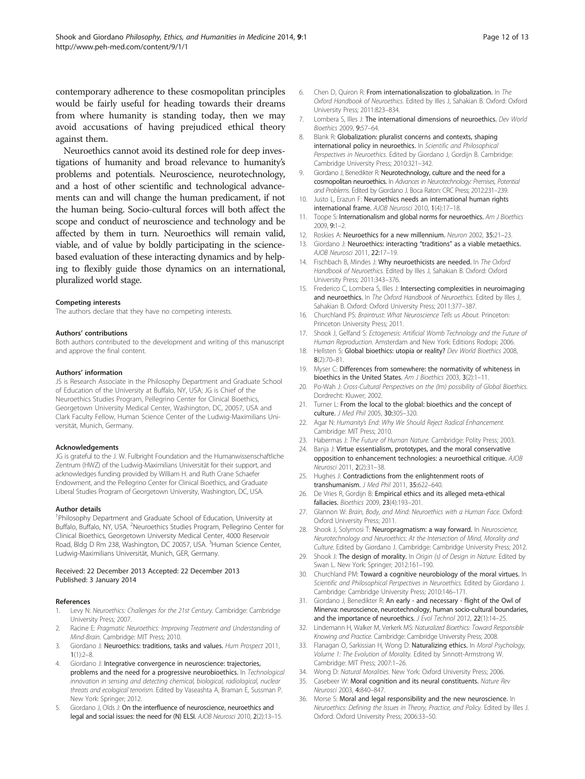<span id="page-11-0"></span>contemporary adherence to these cosmopolitan principles would be fairly useful for heading towards their dreams from where humanity is standing today, then we may avoid accusations of having prejudiced ethical theory against them.

Neuroethics cannot avoid its destined role for deep investigations of humanity and broad relevance to humanity's problems and potentials. Neuroscience, neurotechnology, and a host of other scientific and technological advancements can and will change the human predicament, if not the human being. Socio-cultural forces will both affect the scope and conduct of neuroscience and technology and be affected by them in turn. Neuroethics will remain valid, viable, and of value by boldly participating in the sciencebased evaluation of these interacting dynamics and by helping to flexibly guide those dynamics on an international, pluralized world stage.

#### Competing interests

The authors declare that they have no competing interests.

#### Authors' contributions

Both authors contributed to the development and writing of this manuscript and approve the final content.

#### Authors' information

JS is Research Associate in the Philosophy Department and Graduate School of Education of the University at Buffalo, NY, USA; JG is Chief of the Neuroethics Studies Program, Pellegrino Center for Clinical Bioethics, Georgetown University Medical Center, Washington, DC, 20057, USA and Clark Faculty Fellow, Human Science Center of the Ludwig-Maximilians Universität, Munich, Germany.

#### Acknowledgements

JG is grateful to the J. W. Fulbright Foundation and the Humanwissenschaftliche Zentrum (HWZ) of the Ludwig-Maximilians Universität for their support, and acknowledges funding provided by William H. and Ruth Crane Schaefer Endowment, and the Pellegrino Center for Clinical Bioethics, and Graduate Liberal Studies Program of Georgetown University, Washington, DC, USA.

#### Author details

<sup>1</sup> Philosophy Department and Graduate School of Education, University at Buffalo, Buffalo, NY, USA. <sup>2</sup>Neuroethics Studies Program, Pellegrino Center for Clinical Bioethics, Georgetown University Medical Center, 4000 Reservoir Road, Bldg D Rm 238, Washington, DC 20057, USA. <sup>3</sup>Human Science Center, Ludwig-Maximilians Universität, Munich, GER, Germany.

#### Received: 22 December 2013 Accepted: 22 December 2013 Published: 3 January 2014

#### References

- Levy N: Neuroethics: Challenges for the 21st Century. Cambridge: Cambridge University Press; 2007.
- Racine E: Pragmatic Neuroethics: Improving Treatment and Understanding of Mind-Brain. Cambridge: MIT Press; 2010.
- 3. Giordano J: Neuroethics: traditions, tasks and values. Hum Prospect 2011,  $1(1):2-8.$
- Giordano J: Integrative convergence in neuroscience: trajectories, problems and the need for a progressive neurobioethics. In Technological innovation in sensing and detecting chemical, biological, radiological, nuclear threats and ecological terrorism. Edited by Vaseashta A, Braman E, Sussman P. New York: Springer; 2012.
- 5. Giordano J, Olds J: On the interfluence of neuroscience, neuroethics and legal and social issues: the need for (N) ELSI. AJOB Neurosci 2010, 2(2):13–15.
- 6. Chen D, Quiron R: From internationaliszation to globalization. In The Oxford Handbook of Neuroethics. Edited by Illes J, Sahakian B. Oxford: Oxford University Press; 2011:823–834.
- 7. Lombera S, Illes J: The international dimensions of neuroethics. Dev World Bioethics 2009, 9:57–64.
- 8. Blank R: Globalization: pluralist concerns and contexts, shaping international policy in neuroethics. In Scientific and Philosophical Perspectives in Neuroethics. Edited by Giordano J, Gordijn B. Cambridge: Cambridge University Press; 2010:321–342.
- 9. Giordano J, Benedikter R: Neurotechnology, culture and the need for a cosmopolitan neuroethics. In Advances in Neurotechnology: Premises, Potential and Problems. Edited by Giordano J. Boca Raton: CRC Press; 2012:231–239.
- 10. Justo L, Erazun F: Neuroethics needs an international human rights international frame. AJOB Neurosci 2010, 1(4):17–18.
- 11. Toope S: Internationalism and global norms for neuroethics. Am J Bioethics 2009, 9:1–2.
- 12. Roskies A: Neuroethics for a new millennium. Neuron 2002, 35:21-23.
- 13. Giordano J: Neuroethics: interacting "traditions" as a viable metaethics. AJOB Neurosci 2011, 22:17–19.
- 14. Fischbach B, Mindes J: Why neuroethicists are needed. In The Oxford Handbook of Neuroethics. Edited by Illes J, Sahakian B. Oxford: Oxford University Press; 2011:343–376.
- 15. Frederico C, Lombera S, Illes J: Intersecting complexities in neuroimaging and neuroethics. In The Oxford Handbook of Neuroethics. Edited by Illes J, Sahakian B. Oxford: Oxford University Press; 2011:377–387.
- 16. Churchland PS: Braintrust: What Neuroscience Tells us About. Princeton: Princeton University Press; 2011.
- 17. Shook J, Gelfand S: Ectogenesis: Artificial Womb Technology and the Future of Human Reproduction. Amsterdam and New York: Editions Rodopi; 2006.
- 18. Hellsten S: Global bioethics: utopia or reality? Dev World Bioethics 2008, 8(2):70–81.
- 19. Myser C: Differences from somewhere: the normativity of whiteness in bioethics in the United States. Am J Bioethics 2003, 3(2):1–11.
- 20. Po-Wah J: Cross-Cultural Perspectives on the (Im) possibility of Global Bioethics. Dordrecht: Kluwer; 2002.
- 21. Turner L: From the local to the global: bioethics and the concept of culture. J Med Phil 2005, 30:305–320.
- 22. Agar N: Humanity's End: Why We Should Reject Radical Enhancement. Cambridge: MIT Press; 2010.
- 23. Habermas J: The Future of Human Nature. Cambridge: Polity Press; 2003.
- 24. Banja J: Virtue essentialism, prototypes, and the moral conservative opposition to enhancement technologies: a neuroethical critique. AJOB Neurosci 2011, 2(2):31–38.
- 25. Hughes J: Contradictions from the enlightenment roots of transhumanism. J Med Phil 2011, 35:622–640.
- 26. De Vries R, Gordijn B: Empirical ethics and its alleged meta-ethical fallacies. Bioethics 2009, 23(4):193–201.
- 27. Glannon W: Brain, Body, and Mind: Neuroethics with a Human Face. Oxford: Oxford University Press; 2011.
- 28. Shook J, Solymosi T: Neuropragmatism: a way forward. In Neuroscience, Neurotechnology and Neuroethics: At the Intersection of Mind, Morality and Culture. Edited by Giordano J. Cambridge: Cambridge University Press; 2012.
- 29. Shook J: The design of morality. In Origin (s) of Design in Nature. Edited by Swan L. New York: Springer; 2012:161–190.
- 30. Churchland PM: Toward a cognitive neurobiology of the moral virtues. In Scientific and Philosophical Perspectives in Neuroethics. Edited by Giordano J. Cambridge: Cambridge University Press; 2010:146–171.
- 31. Giordano J, Benedikter R: An early and necessary flight of the Owl of Minerva: neuroscience, neurotechnology, human socio-cultural boundaries, and the importance of neuroethics. J Evol Technol 2012, 22(1):14-25.
- 32. Lindemann H, Walker M, Verkerk MS: Naturalized Bioethics: Toward Responsible Knowing and Practice. Cambridge: Cambridge University Press; 2008.
- 33. Flanagan O, Sarkissian H, Wong D: Naturalizing ethics. In Moral Psychology, Volume 1: The Evolution of Morality. Edited by Sinnott-Armstrong W. Cambridge: MIT Press; 2007:1–26.
- 34. Wong D: Natural Moralities. New York: Oxford University Press; 2006.
- 35. Casebeer W: Moral cognition and its neural constituents. Nature Rev Neurosci 2003, 4:840–847.
- 36. Morse S: Moral and legal responsibility and the new neuroscience. In Neuroethics: Defining the Issues in Theory, Practice, and Policy. Edited by Illes J. Oxford: Oxford University Press; 2006:33–50.